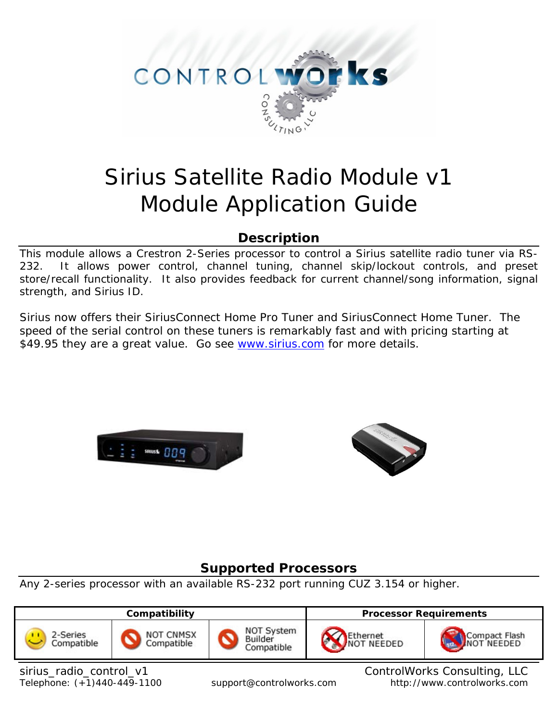

# Sirius Satellite Radio Module v1 Module Application Guide

# **Description**

This module allows a Crestron 2-Series processor to control a Sirius satellite radio tuner via RS-232. It allows power control, channel tuning, channel skip/lockout controls, and preset store/recall functionality. It also provides feedback for current channel/song information, signal strength, and Sirius ID.

Sirius now offers their SiriusConnect Home Pro Tuner and SiriusConnect Home Tuner. The speed of the serial control on these tuners is remarkably fast and with pricing starting at \$49.95 they are a great value. Go see [www.sirius.com](http://www.sirius.com/) for more details.





# **Supported Processors**

Any 2-series processor with an available RS-232 port running CUZ 3.154 or higher.



sirius\_radio\_control\_v1 control controlWorks Consulting, LLC Telephone: (+1)440-449-1100 support@controlworks.com http://www.controlworks.com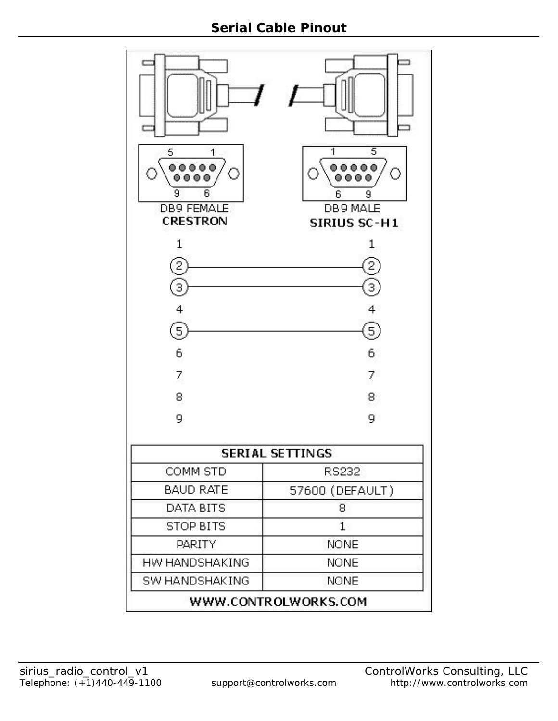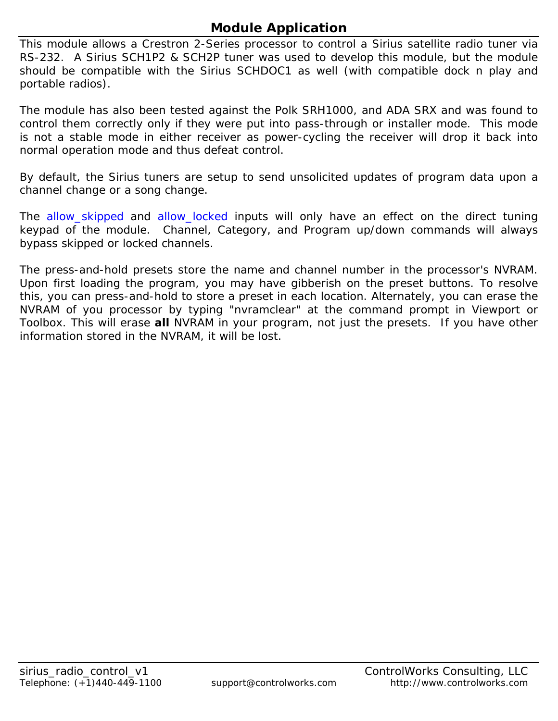# **Module Application**

This module allows a Crestron 2-Series processor to control a Sirius satellite radio tuner via RS-232. A Sirius SCH1P2 & SCH2P tuner was used to develop this module, but the module should be compatible with the Sirius SCHDOC1 as well (with compatible dock n play and portable radios).

The module has also been tested against the Polk SRH1000, and ADA SRX and was found to control them correctly only if they were put into pass-through or installer mode. This mode is not a stable mode in either receiver as power-cycling the receiver will drop it back into normal operation mode and thus defeat control.

By default, the Sirius tuners are setup to send unsolicited updates of program data upon a channel change or a song change.

The allow\_skipped and allow\_locked inputs will only have an effect on the direct tuning keypad of the module. Channel, Category, and Program up/down commands will always bypass skipped or locked channels.

The press-and-hold presets store the name and channel number in the processor's NVRAM. Upon first loading the program, you may have gibberish on the preset buttons. To resolve this, you can press-and-hold to store a preset in each location. Alternately, you can erase the NVRAM of you processor by typing "nvramclear" at the command prompt in Viewport or Toolbox. This will erase **all** NVRAM in your program, not just the presets. If you have other information stored in the NVRAM, it will be lost.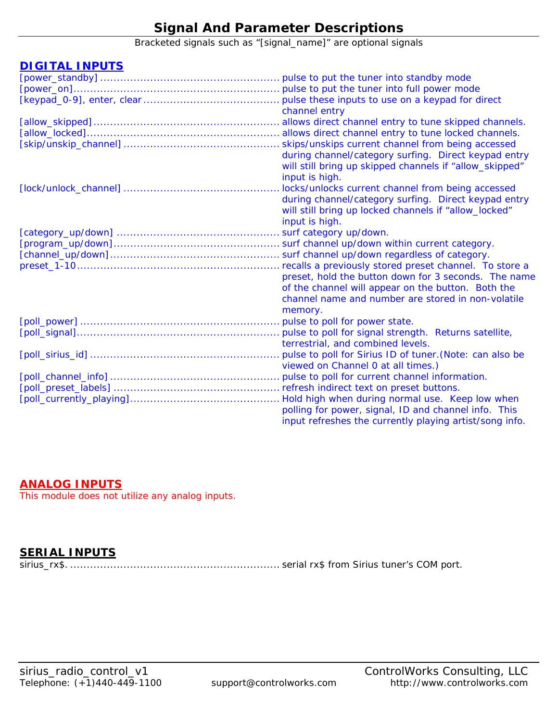# **Signal And Parameter Descriptions**

Bracketed signals such as "[signal\_name]" are optional signals

## **DIGITAL INPUTS**

| channel entry                                           |
|---------------------------------------------------------|
|                                                         |
|                                                         |
|                                                         |
| during channel/category surfing. Direct keypad entry    |
| will still bring up skipped channels if "allow_skipped" |
| input is high.                                          |
| locks/unlocks current channel from being accessed       |
| during channel/category surfing. Direct keypad entry    |
| will still bring up locked channels if "allow_locked"   |
| input is high.                                          |
|                                                         |
|                                                         |
|                                                         |
| recalls a previously stored preset channel. To store a  |
| preset, hold the button down for 3 seconds. The name    |
| of the channel will appear on the button. Both the      |
| channel name and number are stored in non-volatile      |
| memory.                                                 |
|                                                         |
|                                                         |
| terrestrial, and combined levels.                       |
|                                                         |
| viewed on Channel 0 at all times.)                      |
|                                                         |
|                                                         |
|                                                         |
| polling for power, signal, ID and channel info. This    |
| input refreshes the currently playing artist/song info. |

## **ANALOG INPUTS**

This module does not utilize any analog inputs.

## **SERIAL INPUTS**

sirius\_rx\$. ............................................................... serial rx\$ from Sirius tuner's COM port.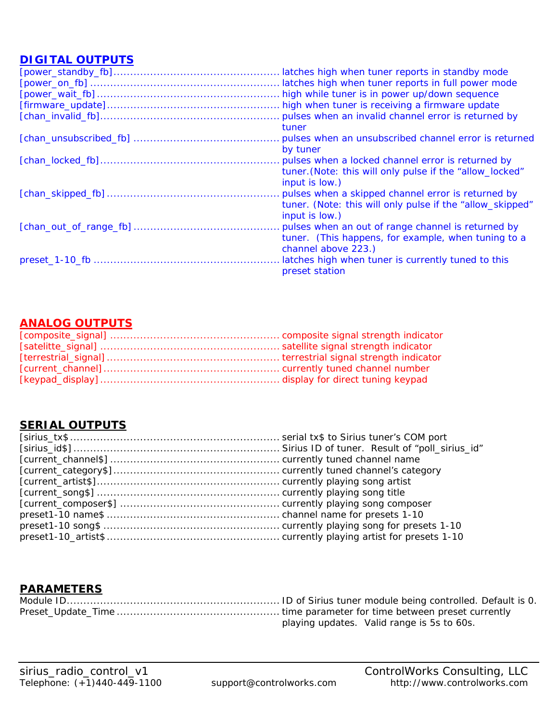## **DIGITAL OUTPUTS**

| latches high when tuner reports in standby mode           |
|-----------------------------------------------------------|
| latches high when tuner reports in full power mode        |
| high while tuner is in power up/down sequence             |
|                                                           |
|                                                           |
| tuner                                                     |
|                                                           |
| by tuner                                                  |
|                                                           |
| tuner. (Note: this will only pulse if the "allow_locked"  |
| input is low.)                                            |
| pulses when a skipped channel error is returned by        |
| tuner. (Note: this will only pulse if the "allow_skipped" |
| input is low.)                                            |
| . pulses when an out of range channel is returned by      |
| tuner. (This happens, for example, when tuning to a       |
| channel above 223.)                                       |
| latches high when tuner is currently tuned to this        |
| preset station                                            |
|                                                           |

## **ANALOG OUTPUTS**

## **SERIAL OUTPUTS**

# **PARAMETERS**

| playing updates. Valid range is 5s to 60s. |
|--------------------------------------------|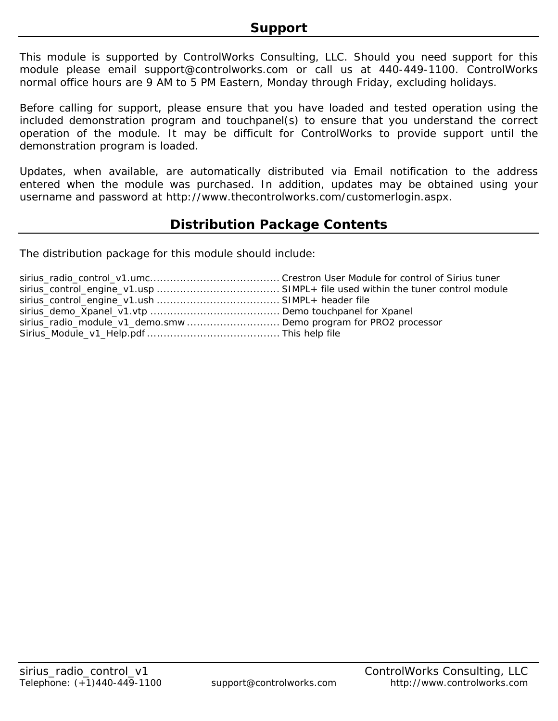This module is supported by ControlWorks Consulting, LLC. Should you need support for this module please email support@controlworks.com or call us at 440-449-1100. ControlWorks normal office hours are 9 AM to 5 PM Eastern, Monday through Friday, excluding holidays.

Before calling for support, please ensure that you have loaded and tested operation using the included demonstration program and touchpanel(s) to ensure that you understand the correct operation of the module. It may be difficult for ControlWorks to provide support until the demonstration program is loaded.

Updates, when available, are automatically distributed via Email notification to the address entered when the module was purchased. In addition, updates may be obtained using your username and password at http://www.thecontrolworks.com/customerlogin.aspx.

# **Distribution Package Contents**

The distribution package for this module should include:

| sirius_radio_module_v1_demo.smw Demo program for PRO2 processor |  |
|-----------------------------------------------------------------|--|
|                                                                 |  |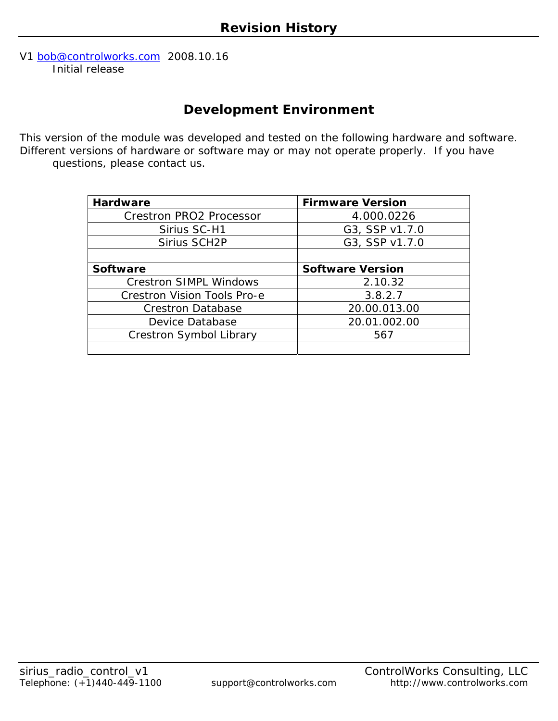#### V1 [bob@controlworks.com](mailto:bob@controlworks.com) 2008.10.16 Initial release

# **Development Environment**

This version of the module was developed and tested on the following hardware and software. Different versions of hardware or software may or may not operate properly. If you have questions, please contact us.

| <b>Hardware</b>                    | <b>Firmware Version</b> |
|------------------------------------|-------------------------|
| <b>Crestron PRO2 Processor</b>     | 4.000.0226              |
| Sirius SC-H1                       | G3, SSP v1.7.0          |
| Sirius SCH2P                       | G3, SSP v1.7.0          |
|                                    |                         |
| <b>Software</b>                    | <b>Software Version</b> |
| <b>Crestron SIMPL Windows</b>      | 2.10.32                 |
| <b>Crestron Vision Tools Pro-e</b> | 3.8.2.7                 |
| <b>Crestron Database</b>           | 20.00.013.00            |
| Device Database                    | 20.01.002.00            |
| Crestron Symbol Library            | 567                     |
|                                    |                         |